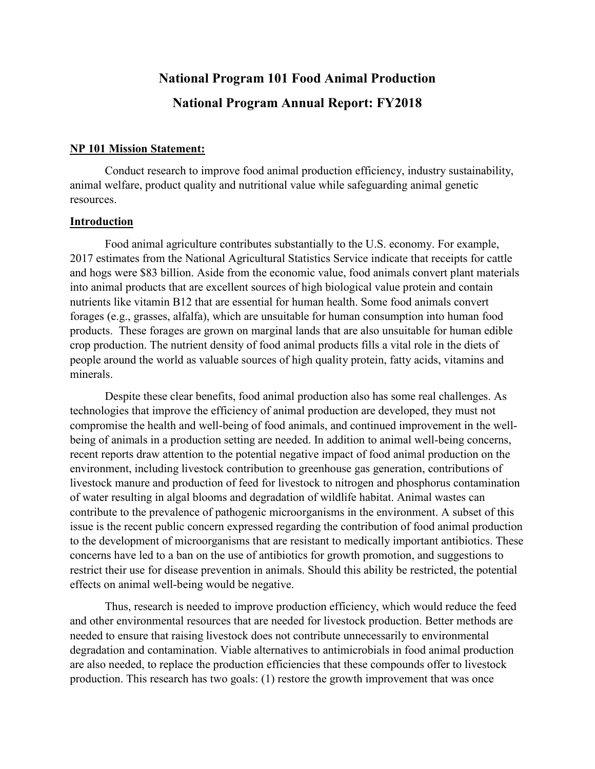# **National Program 101 Food Animal Production National Program Annual Report: FY2018**

#### **NP 101 Mission Statement:**

Conduct research to improve food animal production efficiency, industry sustainability, animal welfare, product quality and nutritional value while safeguarding animal genetic resources.

#### **Introduction**

Food animal agriculture contributes substantially to the U.S. economy. For example, 2017 estimates from the National Agricultural Statistics Service indicate that receipts for cattle and hogs were \$83 billion. Aside from the economic value, food animals convert plant materials into animal products that are excellent sources of high biological value protein and contain nutrients like vitamin B12 that are essential for human health. Some food animals convert forages (e.g., grasses, alfalfa), which are unsuitable for human consumption into human food products. These forages are grown on marginal lands that are also unsuitable for human edible crop production. The nutrient density of food animal products fills a vital role in the diets of people around the world as valuable sources of high quality protein, fatty acids, vitamins and minerals.

Despite these clear benefits, food animal production also has some real challenges. As technologies that improve the efficiency of animal production are developed, they must not compromise the health and well-being of food animals, and continued improvement in the wellbeing of animals in a production setting are needed. In addition to animal well-being concerns, recent reports draw attention to the potential negative impact of food animal production on the environment, including livestock contribution to greenhouse gas generation, contributions of livestock manure and production of feed for livestock to nitrogen and phosphorus contamination of water resulting in algal blooms and degradation of wildlife habitat. Animal wastes can contribute to the prevalence of pathogenic microorganisms in the environment. A subset of this issue is the recent public concern expressed regarding the contribution of food animal production to the development of microorganisms that are resistant to medically important antibiotics. These concerns have led to a ban on the use of antibiotics for growth promotion, and suggestions to restrict their use for disease prevention in animals. Should this ability be restricted, the potential effects on animal well-being would be negative.

Thus, research is needed to improve production efficiency, which would reduce the feed and other environmental resources that are needed for livestock production. Better methods are needed to ensure that raising livestock does not contribute unnecessarily to environmental degradation and contamination. Viable alternatives to antimicrobials in food animal production are also needed, to replace the production efficiencies that these compounds offer to livestock production. This research has two goals: (1) restore the growth improvement that was once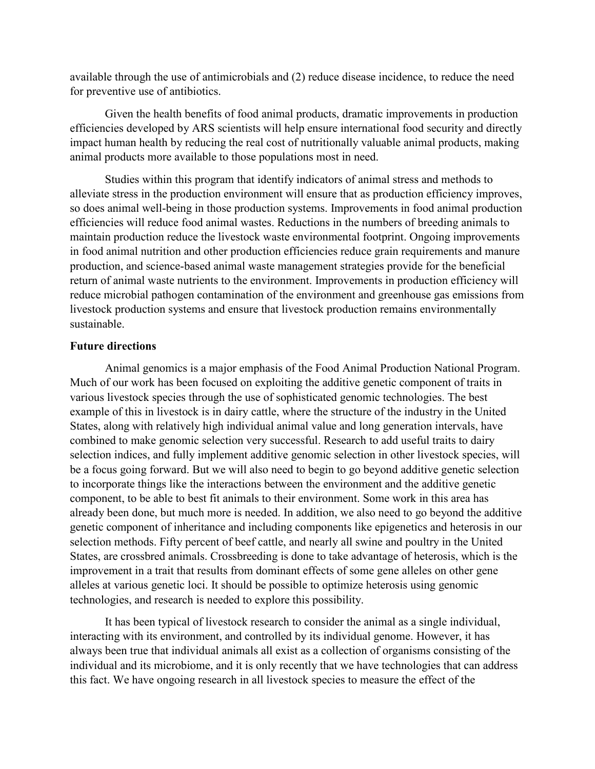available through the use of antimicrobials and (2) reduce disease incidence, to reduce the need for preventive use of antibiotics.

Given the health benefits of food animal products, dramatic improvements in production efficiencies developed by ARS scientists will help ensure international food security and directly impact human health by reducing the real cost of nutritionally valuable animal products, making animal products more available to those populations most in need.

Studies within this program that identify indicators of animal stress and methods to alleviate stress in the production environment will ensure that as production efficiency improves, so does animal well-being in those production systems. Improvements in food animal production efficiencies will reduce food animal wastes. Reductions in the numbers of breeding animals to maintain production reduce the livestock waste environmental footprint. Ongoing improvements in food animal nutrition and other production efficiencies reduce grain requirements and manure production, and science-based animal waste management strategies provide for the beneficial return of animal waste nutrients to the environment. Improvements in production efficiency will reduce microbial pathogen contamination of the environment and greenhouse gas emissions from livestock production systems and ensure that livestock production remains environmentally sustainable.

#### **Future directions**

Animal genomics is a major emphasis of the Food Animal Production National Program. Much of our work has been focused on exploiting the additive genetic component of traits in various livestock species through the use of sophisticated genomic technologies. The best example of this in livestock is in dairy cattle, where the structure of the industry in the United States, along with relatively high individual animal value and long generation intervals, have combined to make genomic selection very successful. Research to add useful traits to dairy selection indices, and fully implement additive genomic selection in other livestock species, will be a focus going forward. But we will also need to begin to go beyond additive genetic selection to incorporate things like the interactions between the environment and the additive genetic component, to be able to best fit animals to their environment. Some work in this area has already been done, but much more is needed. In addition, we also need to go beyond the additive genetic component of inheritance and including components like epigenetics and heterosis in our selection methods. Fifty percent of beef cattle, and nearly all swine and poultry in the United States, are crossbred animals. Crossbreeding is done to take advantage of heterosis, which is the improvement in a trait that results from dominant effects of some gene alleles on other gene alleles at various genetic loci. It should be possible to optimize heterosis using genomic technologies, and research is needed to explore this possibility.

It has been typical of livestock research to consider the animal as a single individual, interacting with its environment, and controlled by its individual genome. However, it has always been true that individual animals all exist as a collection of organisms consisting of the individual and its microbiome, and it is only recently that we have technologies that can address this fact. We have ongoing research in all livestock species to measure the effect of the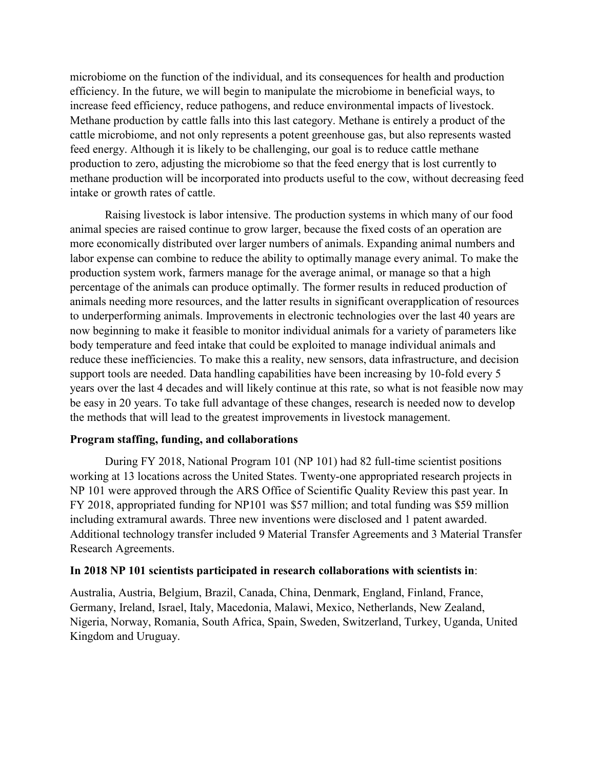microbiome on the function of the individual, and its consequences for health and production efficiency. In the future, we will begin to manipulate the microbiome in beneficial ways, to increase feed efficiency, reduce pathogens, and reduce environmental impacts of livestock. Methane production by cattle falls into this last category. Methane is entirely a product of the cattle microbiome, and not only represents a potent greenhouse gas, but also represents wasted feed energy. Although it is likely to be challenging, our goal is to reduce cattle methane production to zero, adjusting the microbiome so that the feed energy that is lost currently to methane production will be incorporated into products useful to the cow, without decreasing feed intake or growth rates of cattle.

Raising livestock is labor intensive. The production systems in which many of our food animal species are raised continue to grow larger, because the fixed costs of an operation are more economically distributed over larger numbers of animals. Expanding animal numbers and labor expense can combine to reduce the ability to optimally manage every animal. To make the production system work, farmers manage for the average animal, or manage so that a high percentage of the animals can produce optimally. The former results in reduced production of animals needing more resources, and the latter results in significant overapplication of resources to underperforming animals. Improvements in electronic technologies over the last 40 years are now beginning to make it feasible to monitor individual animals for a variety of parameters like body temperature and feed intake that could be exploited to manage individual animals and reduce these inefficiencies. To make this a reality, new sensors, data infrastructure, and decision support tools are needed. Data handling capabilities have been increasing by 10-fold every 5 years over the last 4 decades and will likely continue at this rate, so what is not feasible now may be easy in 20 years. To take full advantage of these changes, research is needed now to develop the methods that will lead to the greatest improvements in livestock management.

#### **Program staffing, funding, and collaborations**

During FY 2018, National Program 101 (NP 101) had 82 full-time scientist positions working at 13 locations across the United States. Twenty-one appropriated research projects in NP 101 were approved through the ARS Office of Scientific Quality Review this past year. In FY 2018, appropriated funding for NP101 was \$57 million; and total funding was \$59 million including extramural awards. Three new inventions were disclosed and 1 patent awarded. Additional technology transfer included 9 Material Transfer Agreements and 3 Material Transfer Research Agreements.

#### **In 2018 NP 101 scientists participated in research collaborations with scientists in**:

Australia, Austria, Belgium, Brazil, Canada, China, Denmark, England, Finland, France, Germany, Ireland, Israel, Italy, Macedonia, Malawi, Mexico, Netherlands, New Zealand, Nigeria, Norway, Romania, South Africa, Spain, Sweden, Switzerland, Turkey, Uganda, United Kingdom and Uruguay.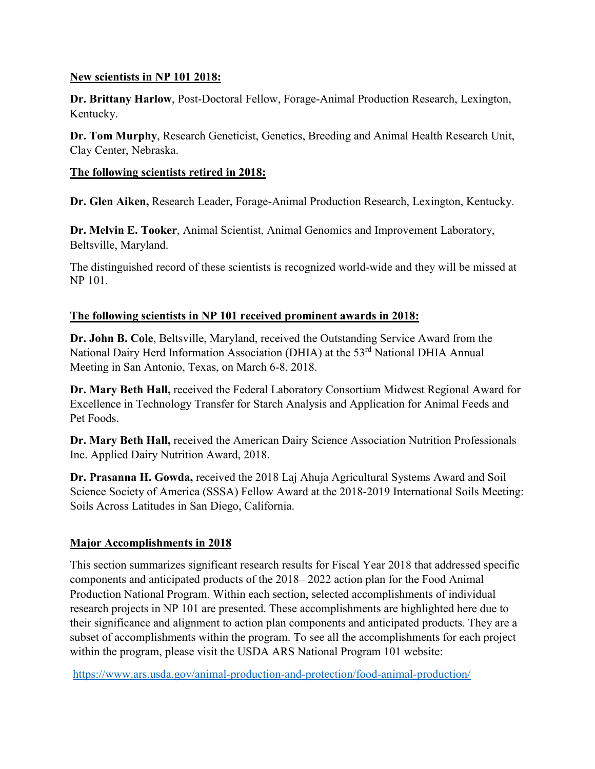#### **New scientists in NP 101 2018:**

**Dr. Brittany Harlow**, Post-Doctoral Fellow, Forage-Animal Production Research, Lexington, Kentucky.

**Dr. Tom Murphy**, Research Geneticist, Genetics, Breeding and Animal Health Research Unit, Clay Center, Nebraska.

#### **The following scientists retired in 2018:**

**Dr. Glen Aiken,** Research Leader, Forage-Animal Production Research, Lexington, Kentucky.

**Dr. Melvin E. Tooker**, Animal Scientist, Animal Genomics and Improvement Laboratory, Beltsville, Maryland.

The distinguished record of these scientists is recognized world-wide and they will be missed at NP 101.

### **The following scientists in NP 101 received prominent awards in 2018:**

**Dr. John B. Cole**, Beltsville, Maryland, received the Outstanding Service Award from the National Dairy Herd Information Association (DHIA) at the 53<sup>rd</sup> National DHIA Annual Meeting in San Antonio, Texas, on March 6-8, 2018.

**Dr. Mary Beth Hall,** received the Federal Laboratory Consortium Midwest Regional Award for Excellence in Technology Transfer for Starch Analysis and Application for Animal Feeds and Pet Foods.

**Dr. Mary Beth Hall,** received the American Dairy Science Association Nutrition Professionals Inc. Applied Dairy Nutrition Award, 2018.

**Dr. Prasanna H. Gowda,** received the 2018 Laj Ahuja Agricultural Systems Award and Soil Science Society of America (SSSA) Fellow Award at the 2018-2019 International Soils Meeting: Soils Across Latitudes in San Diego, California.

#### **Major Accomplishments in 2018**

This section summarizes significant research results for Fiscal Year 2018 that addressed specific components and anticipated products of the 2018– 2022 action plan for the Food Animal Production National Program. Within each section, selected accomplishments of individual research projects in NP 101 are presented. These accomplishments are highlighted here due to their significance and alignment to action plan components and anticipated products. They are a subset of accomplishments within the program. To see all the accomplishments for each project within the program, please visit the USDA ARS National Program 101 website:

<https://www.ars.usda.gov/animal-production-and-protection/food-animal-production/>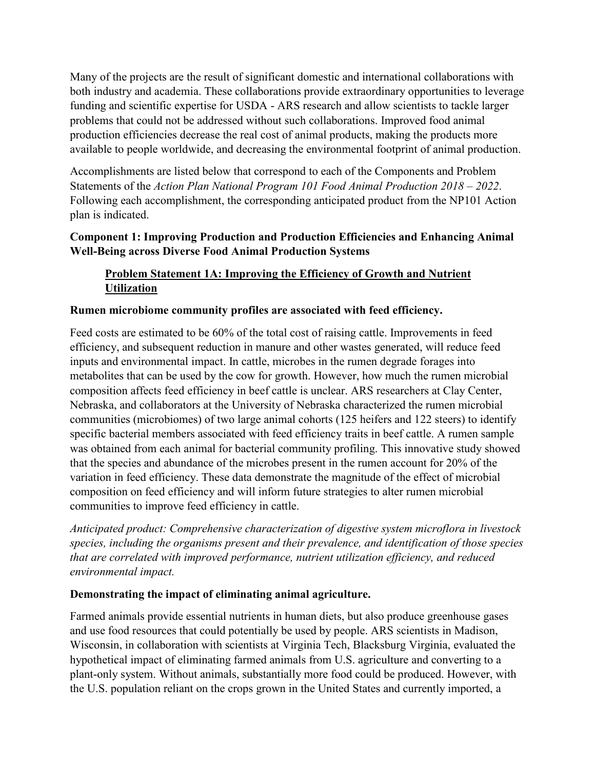Many of the projects are the result of significant domestic and international collaborations with both industry and academia. These collaborations provide extraordinary opportunities to leverage funding and scientific expertise for USDA - ARS research and allow scientists to tackle larger problems that could not be addressed without such collaborations. Improved food animal production efficiencies decrease the real cost of animal products, making the products more available to people worldwide, and decreasing the environmental footprint of animal production.

Accomplishments are listed below that correspond to each of the Components and Problem Statements of the *Action Plan National Program 101 Food Animal Production 2018 – 2022*. Following each accomplishment, the corresponding anticipated product from the NP101 Action plan is indicated.

# **Component 1: Improving Production and Production Efficiencies and Enhancing Animal Well-Being across Diverse Food Animal Production Systems**

# **Problem Statement 1A: Improving the Efficiency of Growth and Nutrient Utilization**

# **Rumen microbiome community profiles are associated with feed efficiency.**

Feed costs are estimated to be 60% of the total cost of raising cattle. Improvements in feed efficiency, and subsequent reduction in manure and other wastes generated, will reduce feed inputs and environmental impact. In cattle, microbes in the rumen degrade forages into metabolites that can be used by the cow for growth. However, how much the rumen microbial composition affects feed efficiency in beef cattle is unclear. ARS researchers at Clay Center, Nebraska, and collaborators at the University of Nebraska characterized the rumen microbial communities (microbiomes) of two large animal cohorts (125 heifers and 122 steers) to identify specific bacterial members associated with feed efficiency traits in beef cattle. A rumen sample was obtained from each animal for bacterial community profiling. This innovative study showed that the species and abundance of the microbes present in the rumen account for 20% of the variation in feed efficiency. These data demonstrate the magnitude of the effect of microbial composition on feed efficiency and will inform future strategies to alter rumen microbial communities to improve feed efficiency in cattle.

*Anticipated product: Comprehensive characterization of digestive system microflora in livestock species, including the organisms present and their prevalence, and identification of those species that are correlated with improved performance, nutrient utilization efficiency, and reduced environmental impact.*

# **Demonstrating the impact of eliminating animal agriculture.**

Farmed animals provide essential nutrients in human diets, but also produce greenhouse gases and use food resources that could potentially be used by people. ARS scientists in Madison, Wisconsin, in collaboration with scientists at Virginia Tech, Blacksburg Virginia, evaluated the hypothetical impact of eliminating farmed animals from U.S. agriculture and converting to a plant-only system. Without animals, substantially more food could be produced. However, with the U.S. population reliant on the crops grown in the United States and currently imported, a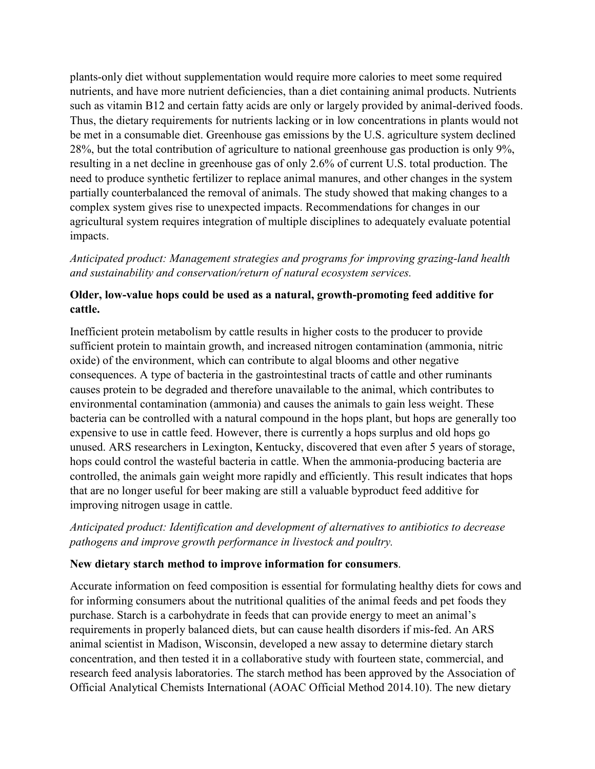plants-only diet without supplementation would require more calories to meet some required nutrients, and have more nutrient deficiencies, than a diet containing animal products. Nutrients such as vitamin B12 and certain fatty acids are only or largely provided by animal-derived foods. Thus, the dietary requirements for nutrients lacking or in low concentrations in plants would not be met in a consumable diet. Greenhouse gas emissions by the U.S. agriculture system declined 28%, but the total contribution of agriculture to national greenhouse gas production is only 9%, resulting in a net decline in greenhouse gas of only 2.6% of current U.S. total production. The need to produce synthetic fertilizer to replace animal manures, and other changes in the system partially counterbalanced the removal of animals. The study showed that making changes to a complex system gives rise to unexpected impacts. Recommendations for changes in our agricultural system requires integration of multiple disciplines to adequately evaluate potential impacts.

#### *Anticipated product: Management strategies and programs for improving grazing-land health and sustainability and conservation/return of natural ecosystem services.*

#### **Older, low-value hops could be used as a natural, growth-promoting feed additive for cattle.**

Inefficient protein metabolism by cattle results in higher costs to the producer to provide sufficient protein to maintain growth, and increased nitrogen contamination (ammonia, nitric oxide) of the environment, which can contribute to algal blooms and other negative consequences. A type of bacteria in the gastrointestinal tracts of cattle and other ruminants causes protein to be degraded and therefore unavailable to the animal, which contributes to environmental contamination (ammonia) and causes the animals to gain less weight. These bacteria can be controlled with a natural compound in the hops plant, but hops are generally too expensive to use in cattle feed. However, there is currently a hops surplus and old hops go unused. ARS researchers in Lexington, Kentucky, discovered that even after 5 years of storage, hops could control the wasteful bacteria in cattle. When the ammonia-producing bacteria are controlled, the animals gain weight more rapidly and efficiently. This result indicates that hops that are no longer useful for beer making are still a valuable byproduct feed additive for improving nitrogen usage in cattle.

### *Anticipated product: Identification and development of alternatives to antibiotics to decrease pathogens and improve growth performance in livestock and poultry.*

#### **New dietary starch method to improve information for consumers**.

Accurate information on feed composition is essential for formulating healthy diets for cows and for informing consumers about the nutritional qualities of the animal feeds and pet foods they purchase. Starch is a carbohydrate in feeds that can provide energy to meet an animal's requirements in properly balanced diets, but can cause health disorders if mis-fed. An ARS animal scientist in Madison, Wisconsin, developed a new assay to determine dietary starch concentration, and then tested it in a collaborative study with fourteen state, commercial, and research feed analysis laboratories. The starch method has been approved by the Association of Official Analytical Chemists International (AOAC Official Method 2014.10). The new dietary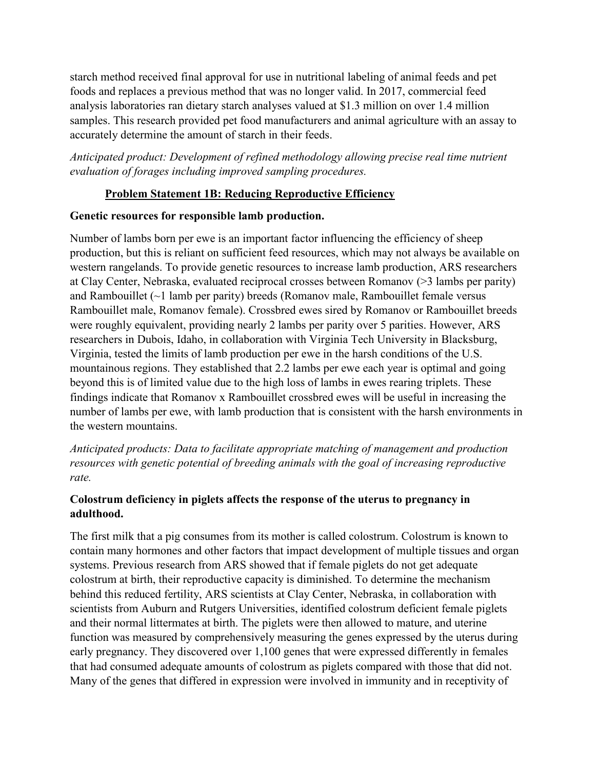starch method received final approval for use in nutritional labeling of animal feeds and pet foods and replaces a previous method that was no longer valid. In 2017, commercial feed analysis laboratories ran dietary starch analyses valued at \$1.3 million on over 1.4 million samples. This research provided pet food manufacturers and animal agriculture with an assay to accurately determine the amount of starch in their feeds.

*Anticipated product: Development of refined methodology allowing precise real time nutrient evaluation of forages including improved sampling procedures.*

#### **Problem Statement 1B: Reducing Reproductive Efficiency**

#### **Genetic resources for responsible lamb production.**

Number of lambs born per ewe is an important factor influencing the efficiency of sheep production, but this is reliant on sufficient feed resources, which may not always be available on western rangelands. To provide genetic resources to increase lamb production, ARS researchers at Clay Center, Nebraska, evaluated reciprocal crosses between Romanov (>3 lambs per parity) and Rambouillet (~1 lamb per parity) breeds (Romanov male, Rambouillet female versus Rambouillet male, Romanov female). Crossbred ewes sired by Romanov or Rambouillet breeds were roughly equivalent, providing nearly 2 lambs per parity over 5 parities. However, ARS researchers in Dubois, Idaho, in collaboration with Virginia Tech University in Blacksburg, Virginia, tested the limits of lamb production per ewe in the harsh conditions of the U.S. mountainous regions. They established that 2.2 lambs per ewe each year is optimal and going beyond this is of limited value due to the high loss of lambs in ewes rearing triplets. These findings indicate that Romanov x Rambouillet crossbred ewes will be useful in increasing the number of lambs per ewe, with lamb production that is consistent with the harsh environments in the western mountains.

*Anticipated products: Data to facilitate appropriate matching of management and production resources with genetic potential of breeding animals with the goal of increasing reproductive rate.*

# **Colostrum deficiency in piglets affects the response of the uterus to pregnancy in adulthood.**

The first milk that a pig consumes from its mother is called colostrum. Colostrum is known to contain many hormones and other factors that impact development of multiple tissues and organ systems. Previous research from ARS showed that if female piglets do not get adequate colostrum at birth, their reproductive capacity is diminished. To determine the mechanism behind this reduced fertility, ARS scientists at Clay Center, Nebraska, in collaboration with scientists from Auburn and Rutgers Universities, identified colostrum deficient female piglets and their normal littermates at birth. The piglets were then allowed to mature, and uterine function was measured by comprehensively measuring the genes expressed by the uterus during early pregnancy. They discovered over 1,100 genes that were expressed differently in females that had consumed adequate amounts of colostrum as piglets compared with those that did not. Many of the genes that differed in expression were involved in immunity and in receptivity of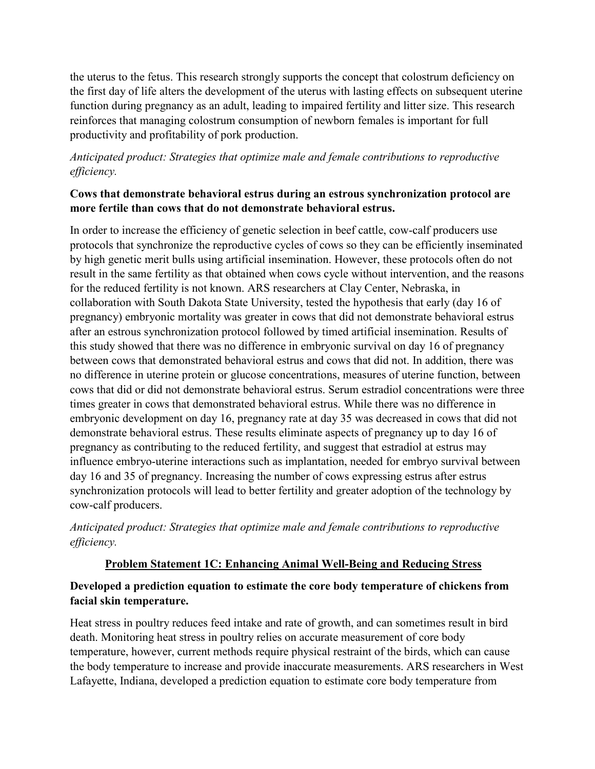the uterus to the fetus. This research strongly supports the concept that colostrum deficiency on the first day of life alters the development of the uterus with lasting effects on subsequent uterine function during pregnancy as an adult, leading to impaired fertility and litter size. This research reinforces that managing colostrum consumption of newborn females is important for full productivity and profitability of pork production.

# *Anticipated product: Strategies that optimize male and female contributions to reproductive efficiency.*

### **Cows that demonstrate behavioral estrus during an estrous synchronization protocol are more fertile than cows that do not demonstrate behavioral estrus.**

In order to increase the efficiency of genetic selection in beef cattle, cow-calf producers use protocols that synchronize the reproductive cycles of cows so they can be efficiently inseminated by high genetic merit bulls using artificial insemination. However, these protocols often do not result in the same fertility as that obtained when cows cycle without intervention, and the reasons for the reduced fertility is not known. ARS researchers at Clay Center, Nebraska, in collaboration with South Dakota State University, tested the hypothesis that early (day 16 of pregnancy) embryonic mortality was greater in cows that did not demonstrate behavioral estrus after an estrous synchronization protocol followed by timed artificial insemination. Results of this study showed that there was no difference in embryonic survival on day 16 of pregnancy between cows that demonstrated behavioral estrus and cows that did not. In addition, there was no difference in uterine protein or glucose concentrations, measures of uterine function, between cows that did or did not demonstrate behavioral estrus. Serum estradiol concentrations were three times greater in cows that demonstrated behavioral estrus. While there was no difference in embryonic development on day 16, pregnancy rate at day 35 was decreased in cows that did not demonstrate behavioral estrus. These results eliminate aspects of pregnancy up to day 16 of pregnancy as contributing to the reduced fertility, and suggest that estradiol at estrus may influence embryo-uterine interactions such as implantation, needed for embryo survival between day 16 and 35 of pregnancy. Increasing the number of cows expressing estrus after estrus synchronization protocols will lead to better fertility and greater adoption of the technology by cow-calf producers.

*Anticipated product: Strategies that optimize male and female contributions to reproductive efficiency.*

#### **Problem Statement 1C: Enhancing Animal Well-Being and Reducing Stress**

# **Developed a prediction equation to estimate the core body temperature of chickens from facial skin temperature.**

Heat stress in poultry reduces feed intake and rate of growth, and can sometimes result in bird death. Monitoring heat stress in poultry relies on accurate measurement of core body temperature, however, current methods require physical restraint of the birds, which can cause the body temperature to increase and provide inaccurate measurements. ARS researchers in West Lafayette, Indiana, developed a prediction equation to estimate core body temperature from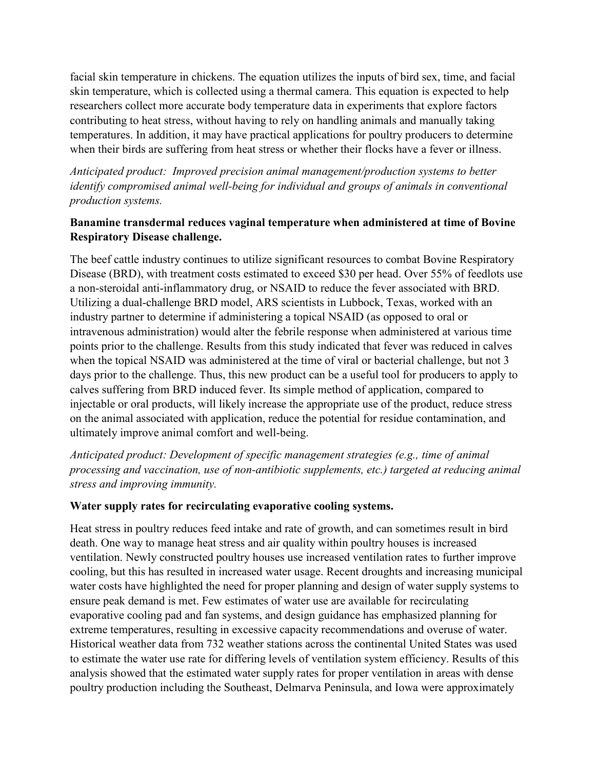facial skin temperature in chickens. The equation utilizes the inputs of bird sex, time, and facial skin temperature, which is collected using a thermal camera. This equation is expected to help researchers collect more accurate body temperature data in experiments that explore factors contributing to heat stress, without having to rely on handling animals and manually taking temperatures. In addition, it may have practical applications for poultry producers to determine when their birds are suffering from heat stress or whether their flocks have a fever or illness.

*Anticipated product: Improved precision animal management/production systems to better identify compromised animal well-being for individual and groups of animals in conventional production systems.*

### **Banamine transdermal reduces vaginal temperature when administered at time of Bovine Respiratory Disease challenge.**

The beef cattle industry continues to utilize significant resources to combat Bovine Respiratory Disease (BRD), with treatment costs estimated to exceed \$30 per head. Over 55% of feedlots use a non-steroidal anti-inflammatory drug, or NSAID to reduce the fever associated with BRD. Utilizing a dual-challenge BRD model, ARS scientists in Lubbock, Texas, worked with an industry partner to determine if administering a topical NSAID (as opposed to oral or intravenous administration) would alter the febrile response when administered at various time points prior to the challenge. Results from this study indicated that fever was reduced in calves when the topical NSAID was administered at the time of viral or bacterial challenge, but not 3 days prior to the challenge. Thus, this new product can be a useful tool for producers to apply to calves suffering from BRD induced fever. Its simple method of application, compared to injectable or oral products, will likely increase the appropriate use of the product, reduce stress on the animal associated with application, reduce the potential for residue contamination, and ultimately improve animal comfort and well-being.

*Anticipated product: Development of specific management strategies (e.g., time of animal processing and vaccination, use of non-antibiotic supplements, etc.) targeted at reducing animal stress and improving immunity.*

#### **Water supply rates for recirculating evaporative cooling systems.**

Heat stress in poultry reduces feed intake and rate of growth, and can sometimes result in bird death. One way to manage heat stress and air quality within poultry houses is increased ventilation. Newly constructed poultry houses use increased ventilation rates to further improve cooling, but this has resulted in increased water usage. Recent droughts and increasing municipal water costs have highlighted the need for proper planning and design of water supply systems to ensure peak demand is met. Few estimates of water use are available for recirculating evaporative cooling pad and fan systems, and design guidance has emphasized planning for extreme temperatures, resulting in excessive capacity recommendations and overuse of water. Historical weather data from 732 weather stations across the continental United States was used to estimate the water use rate for differing levels of ventilation system efficiency. Results of this analysis showed that the estimated water supply rates for proper ventilation in areas with dense poultry production including the Southeast, Delmarva Peninsula, and Iowa were approximately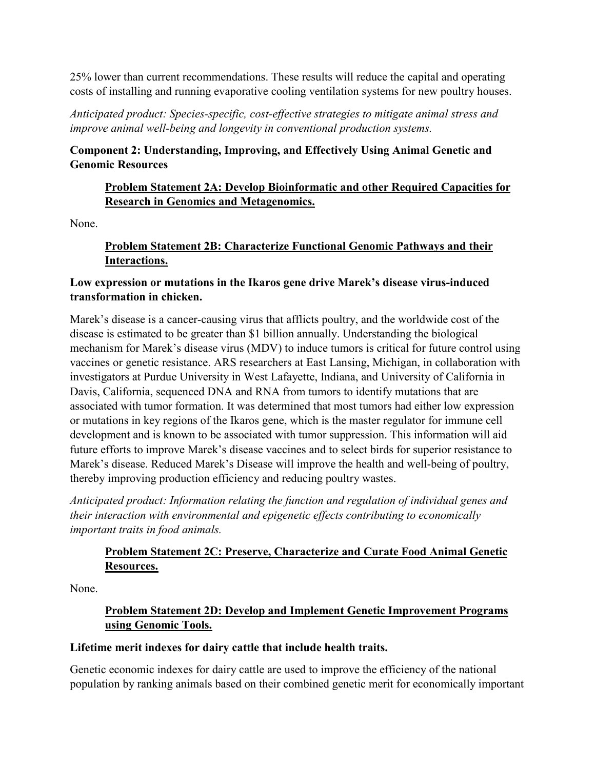25% lower than current recommendations. These results will reduce the capital and operating costs of installing and running evaporative cooling ventilation systems for new poultry houses.

*Anticipated product: Species-specific, cost-effective strategies to mitigate animal stress and improve animal well-being and longevity in conventional production systems.*

# **Component 2: Understanding, Improving, and Effectively Using Animal Genetic and Genomic Resources**

### **Problem Statement 2A: Develop Bioinformatic and other Required Capacities for Research in Genomics and Metagenomics.**

None.

# **Problem Statement 2B: Characterize Functional Genomic Pathways and their Interactions.**

# **Low expression or mutations in the Ikaros gene drive Marek's disease virus-induced transformation in chicken.**

Marek's disease is a cancer-causing virus that afflicts poultry, and the worldwide cost of the disease is estimated to be greater than \$1 billion annually. Understanding the biological mechanism for Marek's disease virus (MDV) to induce tumors is critical for future control using vaccines or genetic resistance. ARS researchers at East Lansing, Michigan, in collaboration with investigators at Purdue University in West Lafayette, Indiana, and University of California in Davis, California, sequenced DNA and RNA from tumors to identify mutations that are associated with tumor formation. It was determined that most tumors had either low expression or mutations in key regions of the Ikaros gene, which is the master regulator for immune cell development and is known to be associated with tumor suppression. This information will aid future efforts to improve Marek's disease vaccines and to select birds for superior resistance to Marek's disease. Reduced Marek's Disease will improve the health and well-being of poultry, thereby improving production efficiency and reducing poultry wastes.

*Anticipated product: Information relating the function and regulation of individual genes and their interaction with environmental and epigenetic effects contributing to economically important traits in food animals.*

# **Problem Statement 2C: Preserve, Characterize and Curate Food Animal Genetic Resources.**

None.

# **Problem Statement 2D: Develop and Implement Genetic Improvement Programs using Genomic Tools.**

# **Lifetime merit indexes for dairy cattle that include health traits.**

Genetic economic indexes for dairy cattle are used to improve the efficiency of the national population by ranking animals based on their combined genetic merit for economically important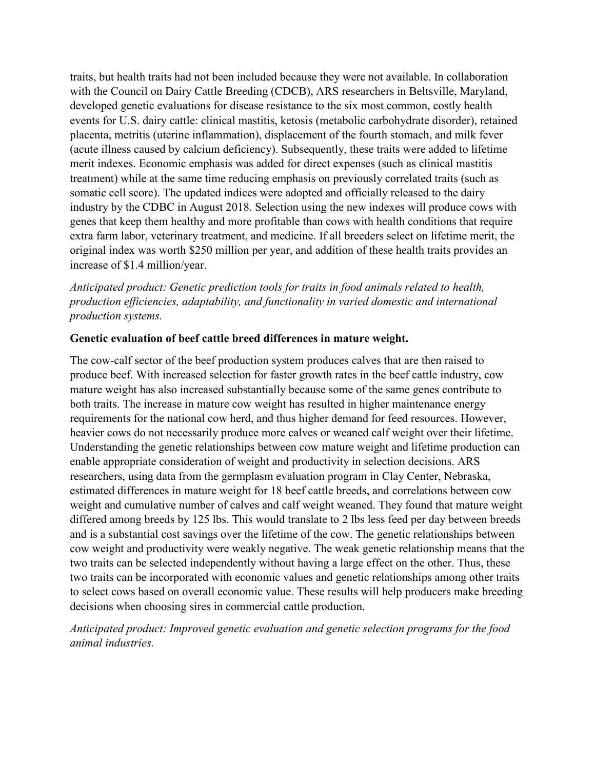traits, but health traits had not been included because they were not available. In collaboration with the Council on Dairy Cattle Breeding (CDCB), ARS researchers in Beltsville, Maryland, developed genetic evaluations for disease resistance to the six most common, costly health events for U.S. dairy cattle: clinical mastitis, ketosis (metabolic carbohydrate disorder), retained placenta, metritis (uterine inflammation), displacement of the fourth stomach, and milk fever (acute illness caused by calcium deficiency). Subsequently, these traits were added to lifetime merit indexes. Economic emphasis was added for direct expenses (such as clinical mastitis treatment) while at the same time reducing emphasis on previously correlated traits (such as somatic cell score). The updated indices were adopted and officially released to the dairy industry by the CDBC in August 2018. Selection using the new indexes will produce cows with genes that keep them healthy and more profitable than cows with health conditions that require extra farm labor, veterinary treatment, and medicine. If all breeders select on lifetime merit, the original index was worth \$250 million per year, and addition of these health traits provides an increase of \$1.4 million/year.

*Anticipated product: Genetic prediction tools for traits in food animals related to health, production efficiencies, adaptability, and functionality in varied domestic and international production systems.*

#### **Genetic evaluation of beef cattle breed differences in mature weight.**

The cow-calf sector of the beef production system produces calves that are then raised to produce beef. With increased selection for faster growth rates in the beef cattle industry, cow mature weight has also increased substantially because some of the same genes contribute to both traits. The increase in mature cow weight has resulted in higher maintenance energy requirements for the national cow herd, and thus higher demand for feed resources. However, heavier cows do not necessarily produce more calves or weaned calf weight over their lifetime. Understanding the genetic relationships between cow mature weight and lifetime production can enable appropriate consideration of weight and productivity in selection decisions. ARS researchers, using data from the germplasm evaluation program in Clay Center, Nebraska, estimated differences in mature weight for 18 beef cattle breeds, and correlations between cow weight and cumulative number of calves and calf weight weaned. They found that mature weight differed among breeds by 125 lbs. This would translate to 2 lbs less feed per day between breeds and is a substantial cost savings over the lifetime of the cow. The genetic relationships between cow weight and productivity were weakly negative. The weak genetic relationship means that the two traits can be selected independently without having a large effect on the other. Thus, these two traits can be incorporated with economic values and genetic relationships among other traits to select cows based on overall economic value. These results will help producers make breeding decisions when choosing sires in commercial cattle production.

*Anticipated product: Improved genetic evaluation and genetic selection programs for the food animal industries.*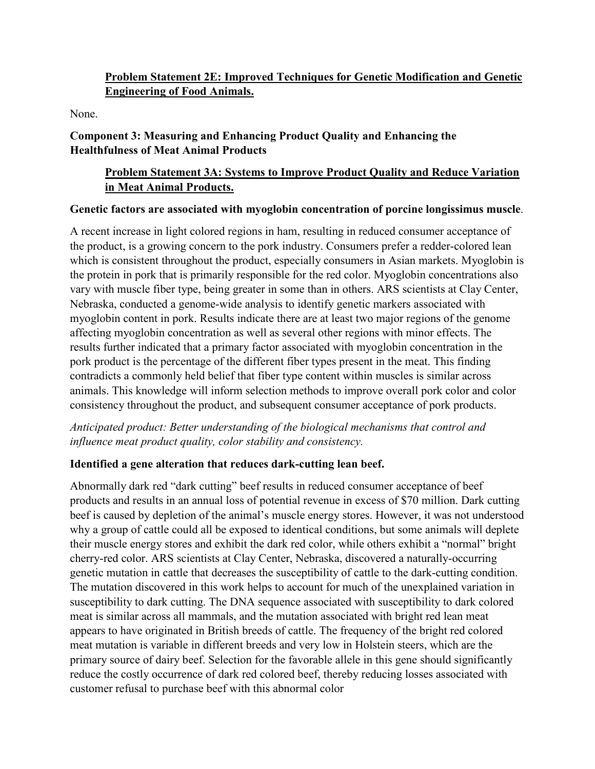# **Problem Statement 2E: Improved Techniques for Genetic Modification and Genetic Engineering of Food Animals.**

None.

# **Component 3: Measuring and Enhancing Product Quality and Enhancing the Healthfulness of Meat Animal Products**

# **Problem Statement 3A: Systems to Improve Product Quality and Reduce Variation in Meat Animal Products.**

### **Genetic factors are associated with myoglobin concentration of porcine longissimus muscle**.

A recent increase in light colored regions in ham, resulting in reduced consumer acceptance of the product, is a growing concern to the pork industry. Consumers prefer a redder-colored lean which is consistent throughout the product, especially consumers in Asian markets. Myoglobin is the protein in pork that is primarily responsible for the red color. Myoglobin concentrations also vary with muscle fiber type, being greater in some than in others. ARS scientists at Clay Center, Nebraska, conducted a genome-wide analysis to identify genetic markers associated with myoglobin content in pork. Results indicate there are at least two major regions of the genome affecting myoglobin concentration as well as several other regions with minor effects. The results further indicated that a primary factor associated with myoglobin concentration in the pork product is the percentage of the different fiber types present in the meat. This finding contradicts a commonly held belief that fiber type content within muscles is similar across animals. This knowledge will inform selection methods to improve overall pork color and color consistency throughout the product, and subsequent consumer acceptance of pork products.

# *Anticipated product: Better understanding of the biological mechanisms that control and influence meat product quality, color stability and consistency.*

# **Identified a gene alteration that reduces dark-cutting lean beef.**

Abnormally dark red "dark cutting" beef results in reduced consumer acceptance of beef products and results in an annual loss of potential revenue in excess of \$70 million. Dark cutting beef is caused by depletion of the animal's muscle energy stores. However, it was not understood why a group of cattle could all be exposed to identical conditions, but some animals will deplete their muscle energy stores and exhibit the dark red color, while others exhibit a "normal" bright cherry-red color. ARS scientists at Clay Center, Nebraska, discovered a naturally-occurring genetic mutation in cattle that decreases the susceptibility of cattle to the dark-cutting condition. The mutation discovered in this work helps to account for much of the unexplained variation in susceptibility to dark cutting. The DNA sequence associated with susceptibility to dark colored meat is similar across all mammals, and the mutation associated with bright red lean meat appears to have originated in British breeds of cattle. The frequency of the bright red colored meat mutation is variable in different breeds and very low in Holstein steers, which are the primary source of dairy beef. Selection for the favorable allele in this gene should significantly reduce the costly occurrence of dark red colored beef, thereby reducing losses associated with customer refusal to purchase beef with this abnormal color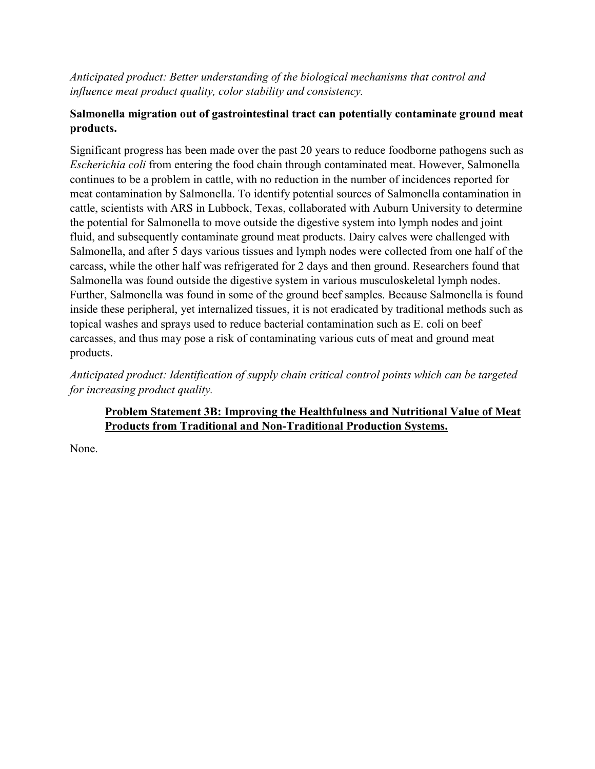#### *Anticipated product: Better understanding of the biological mechanisms that control and influence meat product quality, color stability and consistency.*

# **Salmonella migration out of gastrointestinal tract can potentially contaminate ground meat products.**

Significant progress has been made over the past 20 years to reduce foodborne pathogens such as *Escherichia coli* from entering the food chain through contaminated meat. However, Salmonella continues to be a problem in cattle, with no reduction in the number of incidences reported for meat contamination by Salmonella. To identify potential sources of Salmonella contamination in cattle, scientists with ARS in Lubbock, Texas, collaborated with Auburn University to determine the potential for Salmonella to move outside the digestive system into lymph nodes and joint fluid, and subsequently contaminate ground meat products. Dairy calves were challenged with Salmonella, and after 5 days various tissues and lymph nodes were collected from one half of the carcass, while the other half was refrigerated for 2 days and then ground. Researchers found that Salmonella was found outside the digestive system in various musculoskeletal lymph nodes. Further, Salmonella was found in some of the ground beef samples. Because Salmonella is found inside these peripheral, yet internalized tissues, it is not eradicated by traditional methods such as topical washes and sprays used to reduce bacterial contamination such as E. coli on beef carcasses, and thus may pose a risk of contaminating various cuts of meat and ground meat products.

*Anticipated product: Identification of supply chain critical control points which can be targeted for increasing product quality.*

### **Problem Statement 3B: Improving the Healthfulness and Nutritional Value of Meat Products from Traditional and Non-Traditional Production Systems.**

None.